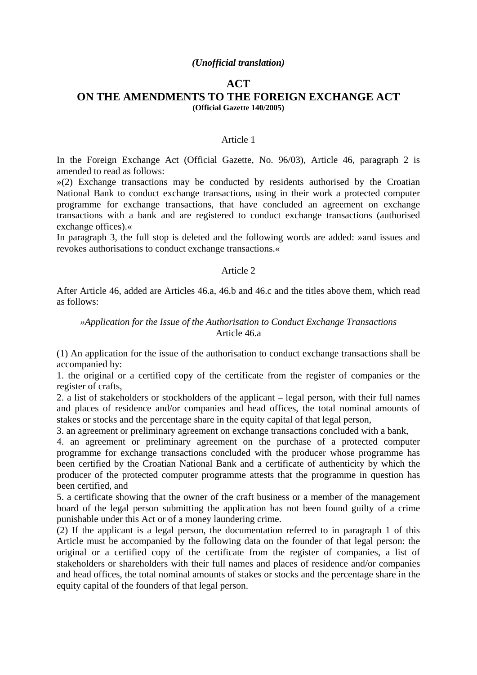### *(Unofficial translation)*

# **ACT ON THE AMENDMENTS TO THE FOREIGN EXCHANGE ACT (Official Gazette 140/2005)**

#### Article 1

In the Foreign Exchange Act (Official Gazette, No. 96/03), Article 46, paragraph 2 is amended to read as follows:

»(2) Exchange transactions may be conducted by residents authorised by the Croatian National Bank to conduct exchange transactions, using in their work a protected computer programme for exchange transactions, that have concluded an agreement on exchange transactions with a bank and are registered to conduct exchange transactions (authorised exchange offices).«

In paragraph 3, the full stop is deleted and the following words are added: »and issues and revokes authorisations to conduct exchange transactions.«

## Article 2

After Article 46, added are Articles 46.a, 46.b and 46.c and the titles above them, which read as follows:

## *»Application for the Issue of the Authorisation to Conduct Exchange Transactions* Article 46.a

(1) An application for the issue of the authorisation to conduct exchange transactions shall be accompanied by:

1. the original or a certified copy of the certificate from the register of companies or the register of crafts,

2. a list of stakeholders or stockholders of the applicant – legal person, with their full names and places of residence and/or companies and head offices, the total nominal amounts of stakes or stocks and the percentage share in the equity capital of that legal person,

3. an agreement or preliminary agreement on exchange transactions concluded with a bank,

4. an agreement or preliminary agreement on the purchase of a protected computer programme for exchange transactions concluded with the producer whose programme has been certified by the Croatian National Bank and a certificate of authenticity by which the producer of the protected computer programme attests that the programme in question has been certified, and

5. a certificate showing that the owner of the craft business or a member of the management board of the legal person submitting the application has not been found guilty of a crime punishable under this Act or of a money laundering crime.

(2) If the applicant is a legal person, the documentation referred to in paragraph 1 of this Article must be accompanied by the following data on the founder of that legal person: the original or a certified copy of the certificate from the register of companies, a list of stakeholders or shareholders with their full names and places of residence and/or companies and head offices, the total nominal amounts of stakes or stocks and the percentage share in the equity capital of the founders of that legal person.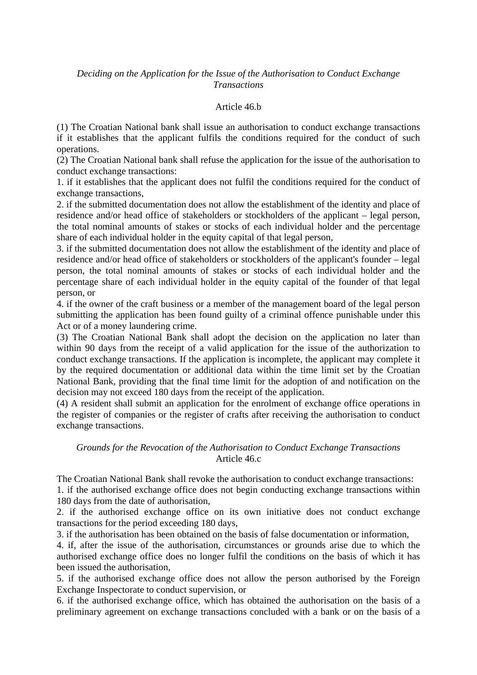# *Deciding on the Application for the Issue of the Authorisation to Conduct Exchange Transactions*

## Article 46.b

(1) The Croatian National bank shall issue an authorisation to conduct exchange transactions if it establishes that the applicant fulfils the conditions required for the conduct of such operations.

(2) The Croatian National bank shall refuse the application for the issue of the authorisation to conduct exchange transactions:

1. if it establishes that the applicant does not fulfil the conditions required for the conduct of exchange transactions,

2. if the submitted documentation does not allow the establishment of the identity and place of residence and/or head office of stakeholders or stockholders of the applicant – legal person, the total nominal amounts of stakes or stocks of each individual holder and the percentage share of each individual holder in the equity capital of that legal person,

3. if the submitted documentation does not allow the establishment of the identity and place of residence and/or head office of stakeholders or stockholders of the applicant's founder – legal person, the total nominal amounts of stakes or stocks of each individual holder and the percentage share of each individual holder in the equity capital of the founder of that legal person, or

4. if the owner of the craft business or a member of the management board of the legal person submitting the application has been found guilty of a criminal offence punishable under this Act or of a money laundering crime.

(3) The Croatian National Bank shall adopt the decision on the application no later than within 90 days from the receipt of a valid application for the issue of the authorization to conduct exchange transactions. If the application is incomplete, the applicant may complete it by the required documentation or additional data within the time limit set by the Croatian National Bank, providing that the final time limit for the adoption of and notification on the decision may not exceed 180 days from the receipt of the application.

(4) A resident shall submit an application for the enrolment of exchange office operations in the register of companies or the register of crafts after receiving the authorisation to conduct exchange transactions.

# *Grounds for the Revocation of the Authorisation to Conduct Exchange Transactions* Article 46.c

The Croatian National Bank shall revoke the authorisation to conduct exchange transactions:

1. if the authorised exchange office does not begin conducting exchange transactions within 180 days from the date of authorisation,

2. if the authorised exchange office on its own initiative does not conduct exchange transactions for the period exceeding 180 days,

3. if the authorisation has been obtained on the basis of false documentation or information,

4. if, after the issue of the authorisation, circumstances or grounds arise due to which the authorised exchange office does no longer fulfil the conditions on the basis of which it has been issued the authorisation,

5. if the authorised exchange office does not allow the person authorised by the Foreign Exchange Inspectorate to conduct supervision, or

6. if the authorised exchange office, which has obtained the authorisation on the basis of a preliminary agreement on exchange transactions concluded with a bank or on the basis of a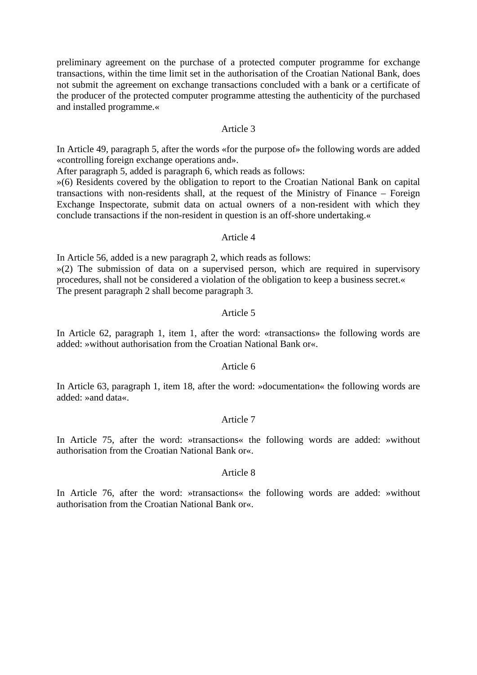preliminary agreement on the purchase of a protected computer programme for exchange transactions, within the time limit set in the authorisation of the Croatian National Bank, does not submit the agreement on exchange transactions concluded with a bank or a certificate of the producer of the protected computer programme attesting the authenticity of the purchased and installed programme.«

### Article 3

In Article 49, paragraph 5, after the words «for the purpose of» the following words are added «controlling foreign exchange operations and».

After paragraph 5, added is paragraph 6, which reads as follows:

»(6) Residents covered by the obligation to report to the Croatian National Bank on capital transactions with non-residents shall, at the request of the Ministry of Finance – Foreign Exchange Inspectorate, submit data on actual owners of a non-resident with which they conclude transactions if the non-resident in question is an off-shore undertaking.«

## $Articl<sub>e</sub>$  4

In Article 56, added is a new paragraph 2, which reads as follows:  $\gg$ (2) The submission of data on a supervised person, which are required in supervisory procedures, shall not be considered a violation of the obligation to keep a business secret.« The present paragraph 2 shall become paragraph 3.

### Article 5

In Article 62, paragraph 1, item 1, after the word: «transactions» the following words are added: »without authorisation from the Croatian National Bank or«.

# Article 6

In Article 63, paragraph 1, item 18, after the word: »documentation« the following words are added: »and data«.

### Article 7

In Article 75, after the word: »transactions« the following words are added: »without authorisation from the Croatian National Bank or«.

#### Article 8

In Article 76, after the word: »transactions« the following words are added: »without authorisation from the Croatian National Bank or«.